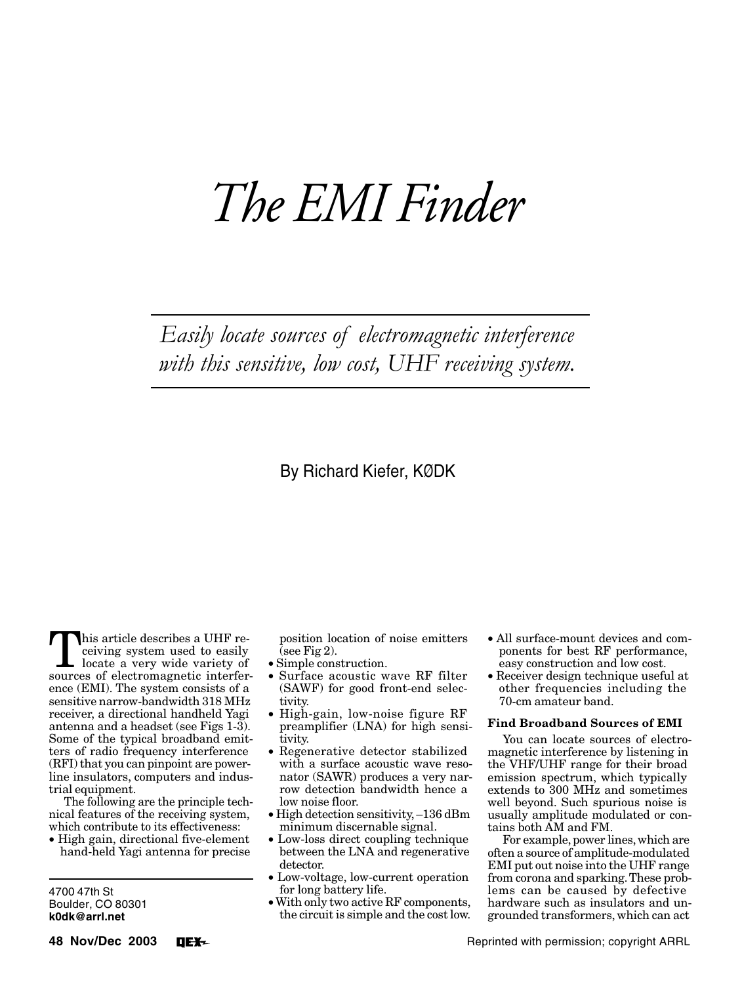# *The EMI Finder*

Easily locate sources of electromagnetic interference with this sensitive, low cost, UHF receiving system.

# By Richard Kiefer, KØDK

This article describes a UHF receiving system used to easily<br>locate a very wide variety of<br>sources of electromagnetic interferceiving system used to easily sources of electromagnetic interference (EMI). The system consists of a sensitive narrow-bandwidth 318 MHz receiver, a directional handheld Yagi antenna and a headset (see Figs 1-3). Some of the typical broadband emitters of radio frequency interference (RFI) that you can pinpoint are powerline insulators, computers and industrial equipment.

The following are the principle technical features of the receiving system, which contribute to its effectiveness:

• High gain, directional five-element hand-held Yagi antenna for precise

4700 47th St Boulder, CO 80301 **k0dk@arrl.net**

**48 Nov/Dec 2003 DEX-** position location of noise emitters  $($ see Fig 2 $).$ 

- Simple construction.
- Surface acoustic wave RF filter (SAWF) for good front-end selectivity.
- High-gain, low-noise figure RF preamplifier (LNA) for high sensitivity.
- Regenerative detector stabilized with a surface acoustic wave resonator (SAWR) produces a very narrow detection bandwidth hence a low noise floor.
- High detection sensitivity, –136 dBm minimum discernable signal.
- Low-loss direct coupling technique between the LNA and regenerative detector.
- Low-voltage, low-current operation for long battery life.
- With only two active RF components, the circuit is simple and the cost low.
- All surface-mount devices and components for best RF performance, easy construction and low cost.
- Receiver design technique useful at other frequencies including the 70-cm amateur band.

#### **Find Broadband Sources of EMI**

You can locate sources of electromagnetic interference by listening in the VHF/UHF range for their broad emission spectrum, which typically extends to 300 MHz and sometimes well beyond. Such spurious noise is usually amplitude modulated or contains both AM and FM.

For example, power lines, which are often a source of amplitude-modulated EMI put out noise into the UHF range from corona and sparking. These problems can be caused by defective hardware such as insulators and ungrounded transformers, which can act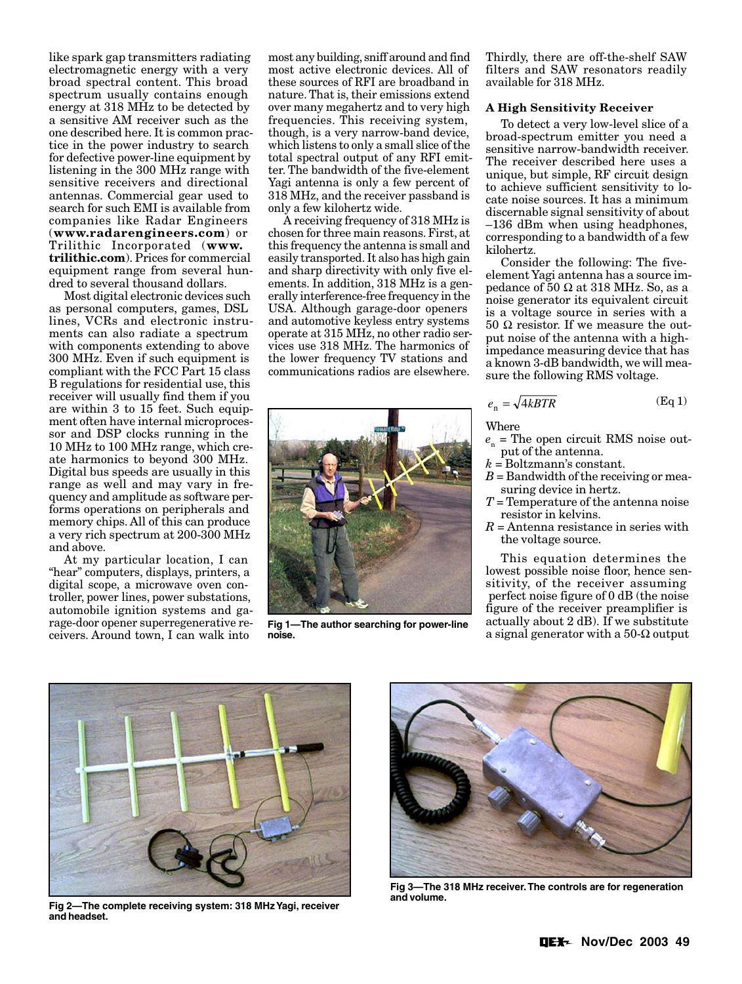like spark gap transmitters radiating electromagnetic energy with a very broad spectral content. This broad spectrum usually contains enough energy at 318 MHz to be detected by a sensitive AM receiver such as the one described here. It is common practice in the power industry to search for defective power-line equipment by listening in the 300 MHz range with sensitive receivers and directional antennas. Commercial gear used to search for such EMI is available from companies like Radar Engineers (**www.radarengineers.com**) or Trilithic Incorporated (**www. trilithic.com**). Prices for commercial equipment range from several hundred to several thousand dollars.

Most digital electronic devices such as personal computers, games, DSL lines, VCRs and electronic instruments can also radiate a spectrum with components extending to above 300 MHz. Even if such equipment is compliant with the FCC Part 15 class B regulations for residential use, this receiver will usually find them if you are within 3 to 15 feet. Such equipment often have internal microprocessor and DSP clocks running in the 10 MHz to 100 MHz range, which create harmonics to beyond 300 MHz. Digital bus speeds are usually in this range as well and may vary in frequency and amplitude as software performs operations on peripherals and memory chips. All of this can produce a very rich spectrum at 200-300 MHz and above.

At my particular location, I can "hear" computers, displays, printers, a digital scope, a microwave oven controller, power lines, power substations, automobile ignition systems and garage-door opener superregenerative receivers. Around town, I can walk into

most any building, sniff around and find most active electronic devices. All of these sources of RFI are broadband in nature. That is, their emissions extend over many megahertz and to very high frequencies. This receiving system, though, is a very narrow-band device, which listens to only a small slice of the total spectral output of any RFI emitter. The bandwidth of the five-element Yagi antenna is only a few percent of 318 MHz, and the receiver passband is only a few kilohertz wide.

A receiving frequency of 318 MHz is chosen for three main reasons. First, at this frequency the antenna is small and easily transported. It also has high gain and sharp directivity with only five elements. In addition, 318 MHz is a generally interference-free frequency in the USA. Although garage-door openers and automotive keyless entry systems operate at 315 MHz, no other radio services use 318 MHz. The harmonics of the lower frequency TV stations and communications radios are elsewhere.



**Fig 1—The author searching for power-line noise.**

Thirdly, there are off-the-shelf SAW filters and SAW resonators readily available for 318 MHz.

## **A High Sensitivity Receiver**

To detect a very low-level slice of a broad-spectrum emitter you need a sensitive narrow-bandwidth receiver. The receiver described here uses a unique, but simple, RF circuit design to achieve sufficient sensitivity to locate noise sources. It has a minimum discernable signal sensitivity of about –136 dBm when using headphones, corresponding to a bandwidth of a few kilohertz.

Consider the following: The fiveelement Yagi antenna has a source impedance of 50  $\Omega$  at 318 MHz. So, as a noise generator its equivalent circuit is a voltage source in series with a 50 Ω resistor. If we measure the output noise of the antenna with a highimpedance measuring device that has a known 3-dB bandwidth, we will measure the following RMS voltage.

$$
e_{\rm n} = \sqrt{4kBTR} \tag{Eq 1}
$$

Where

- $e_n$  = The open circuit RMS noise output of the antenna.
- *k* = Boltzmann's constant.
- *B* = Bandwidth of the receiving or measuring device in hertz.
- *T* = Temperature of the antenna noise resistor in kelvins.
- *R* = Antenna resistance in series with the voltage source.

This equation determines the lowest possible noise floor, hence sensitivity, of the receiver assuming perfect noise figure of 0 dB (the noise figure of the receiver preamplifier is actually about 2 dB). If we substitute a signal generator with a  $50-\Omega$  output



**Fig 2—The complete receiving system: 318 MHz Yagi, receiver and headset.**



**Fig 3—The 318 MHz receiver. The controls are for regeneration and volume.**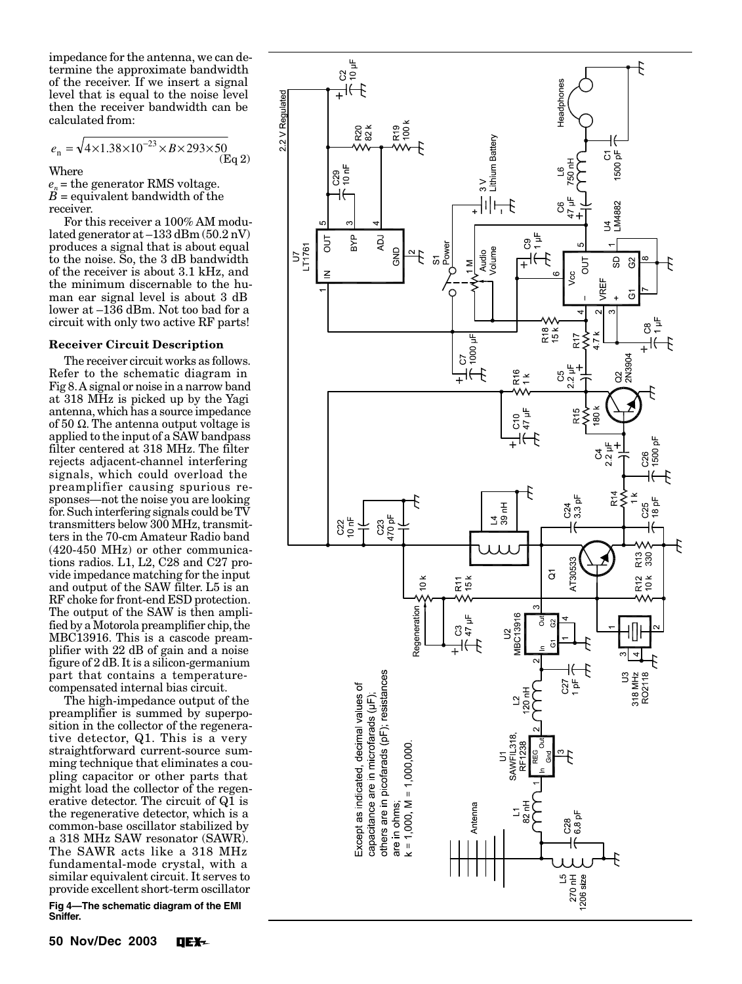impedance for the antenna, we can determine the approximate bandwidth of the receiver. If we insert a signal level that is equal to the noise level then the receiver bandwidth can be calculated from:

$$
e_n = \sqrt{4 \times 1.38 \times 10^{-23} \times B \times 293 \times 50}
$$
 (Eq 2)

Where

 $e_n$  = the generator RMS voltage.  $B =$  equivalent bandwidth of the receiver.

For this receiver a 100% AM modulated generator at –133 dBm (50.2 nV) produces a signal that is about equal to the noise. So, the 3 dB bandwidth of the receiver is about 3.1 kHz, and the minimum discernable to the human ear signal level is about 3 dB lower at –136 dBm. Not too bad for a circuit with only two active RF parts!

#### **Receiver Circuit Description**

The receiver circuit works as follows. Refer to the schematic diagram in Fig 8. A signal or noise in a narrow band at 318 MHz is picked up by the Yagi antenna, which has a source impedance of 50 Ω. The antenna output voltage is applied to the input of a SAW bandpass filter centered at 318 MHz. The filter rejects adjacent-channel interfering signals, which could overload the preamplifier causing spurious responses—not the noise you are looking for. Such interfering signals could be TV transmitters below 300 MHz, transmitters in the 70-cm Amateur Radio band (420-450 MHz) or other communications radios. L1, L2, C28 and C27 provide impedance matching for the input and output of the SAW filter. L5 is an RF choke for front-end ESD protection. The output of the SAW is then amplified by a Motorola preamplifier chip, the MBC13916. This is a cascode preamplifier with 22 dB of gain and a noise figure of 2 dB. It is a silicon-germanium part that contains a temperaturecompensated internal bias circuit.

The high-impedance output of the preamplifier is summed by superposition in the collector of the regenerative detector, Q1. This is a very straightforward current-source summing technique that eliminates a coupling capacitor or other parts that might load the collector of the regenerative detector. The circuit of Q1 is the regenerative detector, which is a common-base oscillator stabilized by a 318 MHz SAW resonator (SAWR). The SAWR acts like a 318 MHz fundamental-mode crystal, with a similar equivalent circuit. It serves to provide excellent short-term oscillator

**Fig 4—The schematic diagram of the EMI Sniffer.**

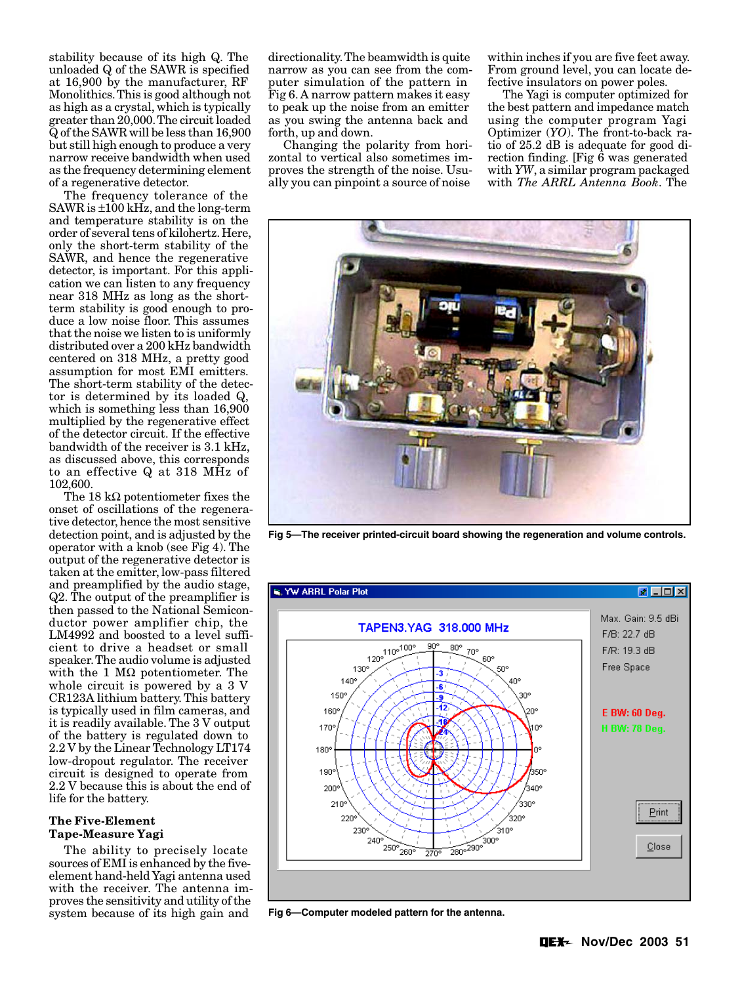stability because of its high Q. The unloaded Q of the SAWR is specified at 16,900 by the manufacturer, RF Monolithics. This is good although not as high as a crystal, which is typically greater than 20,000. The circuit loaded Q of the SAWR will be less than 16,900 but still high enough to produce a very narrow receive bandwidth when used as the frequency determining element of a regenerative detector.

The frequency tolerance of the SAWR is ±100 kHz, and the long-term and temperature stability is on the order of several tens of kilohertz. Here, only the short-term stability of the SAWR, and hence the regenerative detector, is important. For this application we can listen to any frequency near 318 MHz as long as the shortterm stability is good enough to produce a low noise floor. This assumes that the noise we listen to is uniformly distributed over a 200 kHz bandwidth centered on 318 MHz, a pretty good assumption for most EMI emitters. The short-term stability of the detector is determined by its loaded Q, which is something less than 16,900 multiplied by the regenerative effect of the detector circuit. If the effective bandwidth of the receiver is 3.1 kHz, as discussed above, this corresponds to an effective Q at 318 MHz of 102,600.

The 18 kΩ potentiometer fixes the onset of oscillations of the regenerative detector, hence the most sensitive detection point, and is adjusted by the operator with a knob (see Fig 4). The output of the regenerative detector is taken at the emitter, low-pass filtered and preamplified by the audio stage, Q2. The output of the preamplifier is then passed to the National Semiconductor power amplifier chip, the LM4992 and boosted to a level sufficient to drive a headset or small speaker. The audio volume is adjusted with the 1  $\text{M}\Omega$  potentiometer. The whole circuit is powered by a 3 V CR123A lithium battery. This battery is typically used in film cameras, and it is readily available. The 3 V output of the battery is regulated down to 2.2 V by the Linear Technology LT174 low-dropout regulator. The receiver circuit is designed to operate from 2.2 V because this is about the end of life for the battery.

### **The Five-Element Tape-Measure Yagi**

The ability to precisely locate sources of EMI is enhanced by the fiveelement hand-held Yagi antenna used with the receiver. The antenna improves the sensitivity and utility of the system because of its high gain and **Fig 6—Computer modeled pattern for the antenna.**

directionality. The beamwidth is quite narrow as you can see from the computer simulation of the pattern in Fig 6. A narrow pattern makes it easy to peak up the noise from an emitter as you swing the antenna back and forth, up and down.

Changing the polarity from horizontal to vertical also sometimes improves the strength of the noise. Usually you can pinpoint a source of noise

within inches if you are five feet away. From ground level, you can locate defective insulators on power poles.

The Yagi is computer optimized for the best pattern and impedance match using the computer program Yagi Optimizer (*YO*). The front-to-back ratio of 25.2 dB is adequate for good direction finding. [Fig 6 was generated with *YW*, a similar program packaged with *The ARRL Antenna Book*. The



**Fig 5—The receiver printed-circuit board showing the regeneration and volume controls.**

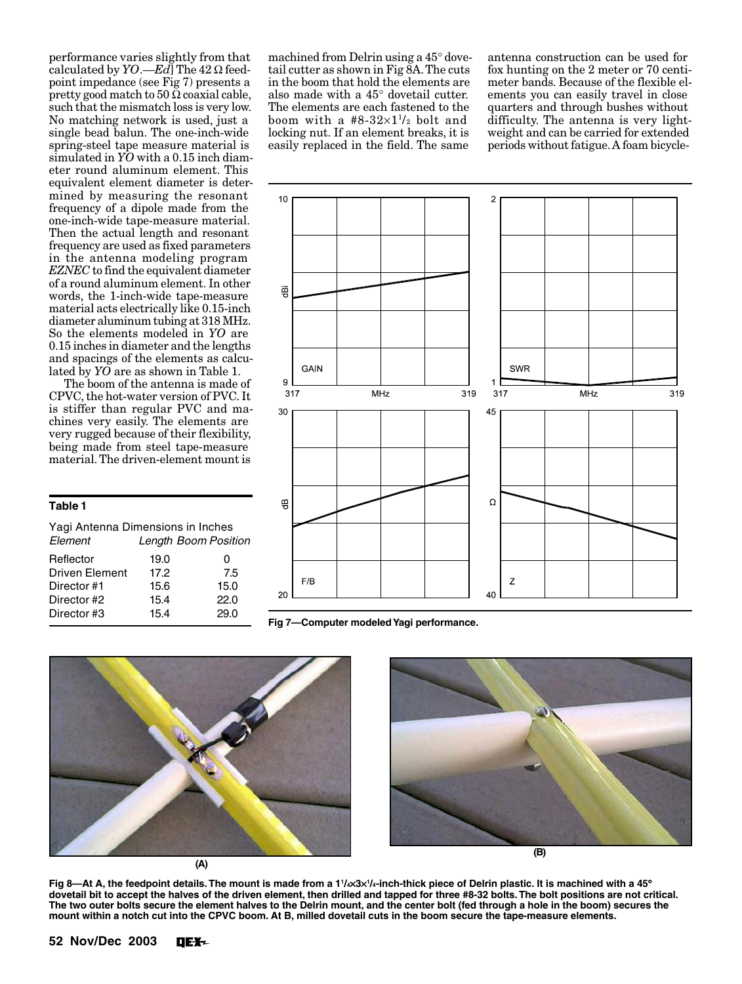performance varies slightly from that calculated by *YO*.—*Ed*] The 42 Ω feedpoint impedance (see Fig 7) presents a pretty good match to  $50 \Omega$  coaxial cable, such that the mismatch loss is very low. No matching network is used, just a single bead balun. The one-inch-wide spring-steel tape measure material is simulated in *YO* with a 0.15 inch diameter round aluminum element. This equivalent element diameter is determined by measuring the resonant frequency of a dipole made from the one-inch-wide tape-measure material. Then the actual length and resonant frequency are used as fixed parameters in the antenna modeling program *EZNEC* to find the equivalent diameter of a round aluminum element. In other words, the 1-inch-wide tape-measure material acts electrically like 0.15-inch diameter aluminum tubing at 318 MHz. So the elements modeled in *YO* are 0.15 inches in diameter and the lengths and spacings of the elements as calculated by *YO* are as shown in Table 1.

The boom of the antenna is made of CPVC, the hot-water version of PVC. It is stiffer than regular PVC and machines very easily. The elements are very rugged because of their flexibility, being made from steel tape-measure material. The driven-element mount is

#### **Table 1**

| Element               | Yagi Antenna Dimensions in Inches<br><b>Length Boom Position</b> |      |
|-----------------------|------------------------------------------------------------------|------|
| Reflector             | 19.0                                                             | O    |
| <b>Driven Element</b> | 17.2                                                             | 7.5  |
| Director #1           | 15.6                                                             | 15.0 |
| Director #2           | 15.4                                                             | 22.0 |
| Director #3           | 15.4                                                             | 29.0 |
|                       |                                                                  |      |

machined from Delrin using a 45° dovetail cutter as shown in Fig  $\overline{8}A$ . The cuts in the boom that hold the elements are also made with a 45° dovetail cutter. The elements are each fastened to the boom with a  $#8-32\times1^{1/2}$  bolt and locking nut. If an element breaks, it is easily replaced in the field. The same

antenna construction can be used for fox hunting on the 2 meter or 70 centimeter bands. Because of the flexible elements you can easily travel in close quarters and through bushes without difficulty. The antenna is very lightweight and can be carried for extended periods without fatigue. A foam bicycle-



**Fig 7—Computer modeled Yagi performance.**



**(A)**



**(B)**

**Fig 8—At A, the feedpoint details. The mount is made from a 11 /4**×**3**× ° **<sup>1</sup> /4-inch-thick piece of Delrin plastic. It is machined with a 45 dovetail bit to accept the halves of the driven element, then drilled and tapped for three #8-32 bolts. The bolt positions are not critical. The two outer bolts secure the element halves to the Delrin mount, and the center bolt (fed through a hole in the boom) secures the mount within a notch cut into the CPVC boom. At B, milled dovetail cuts in the boom secure the tape-measure elements.**

**52 Nov/Dec 2003 DEX-**